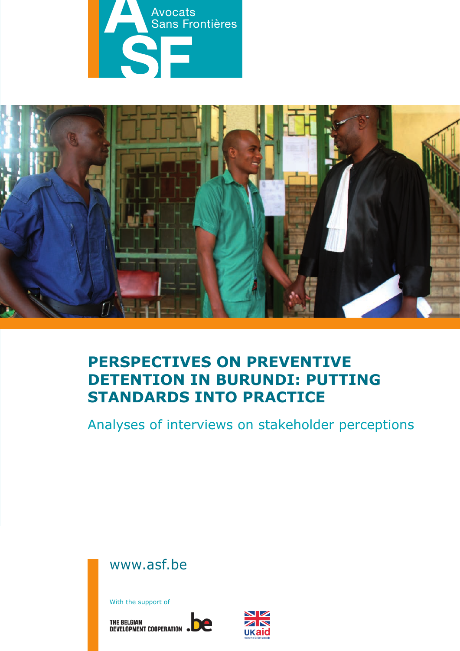



# **Perspectives on preventive DETENTION IN BURUNDI: PUTTING standards into practice**

Analyses of interviews on stakeholder perceptions



With the support of

THE BELGIAN<br>DEVELOPMENT COOPERATION . DE

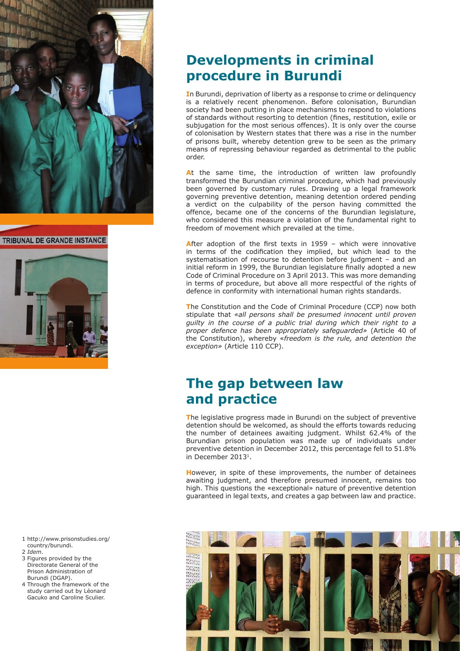

#### **TRIBUNAL DE GRANDE INSTANCE**



- 1 http://www.prisonstudies.org/ country/burundi.
- 2 *Idem*.
- 3 Figures provided by the Directorate General of the Prison Administration of Burundi (DGAP).
- 4 Through the framework of the study carried out by Léonard Gacuko and Caroline Sculier.

# **Developments in criminal procedure in Burundi**

**I**n Burundi, deprivation of liberty as a response to crime or delinquency is a relatively recent phenomenon. Before colonisation, Burundian society had been putting in place mechanisms to respond to violations of standards without resorting to detention (fines, restitution, exile or subjugation for the most serious offences). It is only over the course of colonisation by Western states that there was a rise in the number of prisons built, whereby detention grew to be seen as the primary means of repressing behaviour regarded as detrimental to the public order.

At the same time, the introduction of written law profoundly transformed the Burundian criminal procedure, which had previously been governed by customary rules. Drawing up a legal framework governing preventive detention, meaning detention ordered pending a verdict on the culpability of the person having committed the offence, became one of the concerns of the Burundian legislature, who considered this measure a violation of the fundamental right to freedom of movement which prevailed at the time.

**A**fter adoption of the first texts in 1959 – which were innovative in terms of the codification they implied, but which lead to the systematisation of recourse to detention before judgment – and an initial reform in 1999, the Burundian legislature finally adopted a new Code of Criminal Procedure on 3 April 2013. This was more demanding in terms of procedure, but above all more respectful of the rights of defence in conformity with international human rights standards.

**T**he Constitution and the Code of Criminal Procedure (CCP) now both stipulate that *«all persons shall be presumed innocent until proven guilty in the course of a public trial during which their right to a proper defence has been appropriately safeguarded»* (Article 40 of the Constitution), whereby «*freedom is the rule, and detention the exception»* (Article 110 CCP).

# **The gap between law and practice**

**T**he legislative progress made in Burundi on the subject of preventive detention should be welcomed, as should the efforts towards reducing the number of detainees awaiting judgment. Whilst 62.4% of the Burundian prison population was made up of individuals under preventive detention in December 2012, this percentage fell to 51.8% in December 20131.

**H**owever, in spite of these improvements, the number of detainees awaiting judgment, and therefore presumed innocent, remains too high. This questions the «exceptional» nature of preventive detention guaranteed in legal texts, and creates a gap between law and practice.

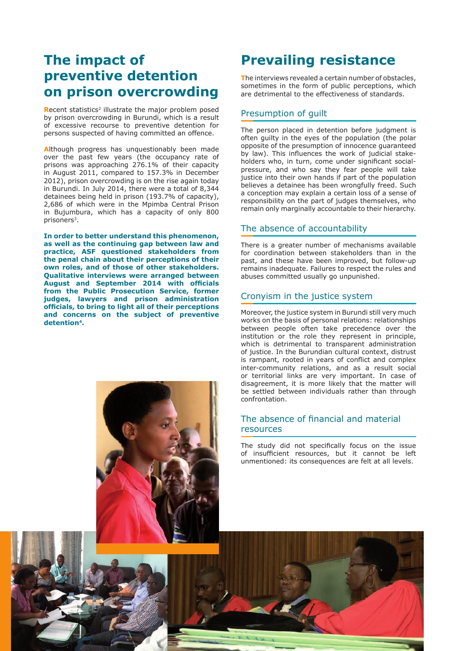## **The impact of preventive detention on prison overcrowding**

**Recent statistics<sup>2</sup> illustrate the major problem posed** by prison overcrowding in Burundi, which is a result of excessive recourse to preventive detention for persons suspected of having committed an offence.

**A**lthough progress has unquestionably been made over the past few years (the occupancy rate of prisons was approaching 276.1% of their capacity in August 2011, compared to 157.3% in December 2012), prison overcrowding is on the rise again today in Burundi. In July 2014, there were a total of 8,344 detainees being held in prison (193.7% of capacity), 2,686 of which were in the Mpimba Central Prison in Bujumbura, which has a capacity of only 800 prisoners3.

**In order to better understand this phenomenon, as well as the continuing gap between law and practice, ASF questioned stakeholders from the penal chain about their perceptions of their own roles, and of those of other stakeholders. Qualitative interviews were arranged between August and September 2014 with officials from the Public Prosecution Service, former judges, lawyers and prison administration officials, to bring to light all of their perceptions and concerns on the subject of preventive detention4.**



# **Prevailing resistance**

**T**he interviews revealed a certain number of obstacles, sometimes in the form of public perceptions, which are detrimental to the effectiveness of standards.

## Presumption of guilt

The person placed in detention before judgment is often guilty in the eyes of the population (the polar opposite of the presumption of innocence guaranteed by law). This influences the work of judicial stakeholders who, in turn, come under significant socialpressure, and who say they fear people will take justice into their own hands if part of the population believes a detainee has been wrongfully freed. Such a conception may explain a certain loss of a sense of responsibility on the part of judges themselves, who remain only marginally accountable to their hierarchy.

## The absence of accountability

There is a greater number of mechanisms available for coordination between stakeholders than in the past, and these have been improved, but follow-up remains inadequate. Failures to respect the rules and abuses committed usually go unpunished.

## Cronyism in the justice system

Moreover, the justice system in Burundi still very much works on the basis of personal relations: relationships between people often take precedence over the institution or the role they represent in principle, which is detrimental to transparent administration of justice. In the Burundian cultural context, distrust is rampant, rooted in years of conflict and complex inter-community relations, and as a result social or territorial links are very important. In case of disagreement, it is more likely that the matter will be settled between individuals rather than through confrontation.

## The absence of financial and material resources

The study did not specifically focus on the issue of insufficient resources, but it cannot be left unmentioned: its consequences are felt at all levels.

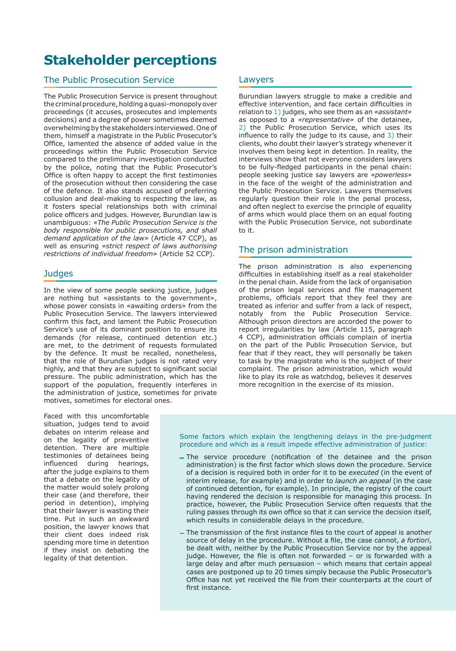# **Stakeholder perceptions**

## The Public Prosecution Service

The Public Prosecution Service is present throughout the criminal procedure, holding a quasi-monopoly over proceedings (it accuses, prosecutes and implements decisions) and a degree of power sometimes deemed overwhelming by the stakeholders interviewed. One of them, himself a magistrate in the Public Prosecutor's Office, lamented the absence of added value in the proceedings within the Public Prosecution Service compared to the preliminary investigation conducted by the police, noting that the Public Prosecutor's Office is often happy to accept the first testimonies of the prosecution without then considering the case of the defence. It also stands accused of preferring collusion and deal-making to respecting the law, as it fosters special relationships both with criminal police officers and judges. However, Burundian law is unambiguous: *«The Public Prosecution Service is the body responsible for public prosecutions, and shall demand application of the law»* (Article 47 CCP), as well as ensuring *«strict respect of laws authorising restrictions of individual freedom»* (Article 52 CCP).

### **Judges**

In the view of some people seeking justice, judges are nothing but «assistants to the government», whose power consists in «awaiting orders» from the Public Prosecution Service. The lawyers interviewed confirm this fact, and lament the Public Prosecution Service's use of its dominant position to ensure its demands (for release, continued detention etc.) are met, to the detriment of requests formulated by the defence. It must be recalled, nonetheless, that the role of Burundian judges is not rated very highly, and that they are subject to significant social pressure. The public administration, which has the support of the population, frequently interferes in the administration of justice, sometimes for private motives, sometimes for electoral ones.

Faced with this uncomfortable situation, judges tend to avoid debates on interim release and on the legality of preventive detention. There are multiple testimonies of detainees being influenced during hearings, after the judge explains to them that a debate on the legality of the matter would solely prolong their case (and therefore, their period in detention), implying that their lawyer is wasting their time. Put in such an awkward position, the lawyer knows that their client does indeed risk spending more time in detention if they insist on debating the legality of that detention.

### Lawyers

Burundian lawyers struggle to make a credible and effective intervention, and face certain difficulties in relation to 1) judges, who see them as an *«assistant»* as opposed to a *«representative»* of the detainee, 2) the Public Prosecution Service, which uses its influence to rally the judge to its cause, and 3) their clients, who doubt their lawyer's strategy whenever it involves them being kept in detention. In reality, the interviews show that not everyone considers lawyers to be fully-fledged participants in the penal chain: people seeking justice say lawyers are *«powerless»* in the face of the weight of the administration and the Public Prosecution Service. Lawyers themselves regularly question their role in the penal process, and often neglect to exercise the principle of equality of arms which would place them on an equal footing with the Public Prosecution Service, not subordinate to it.

## The prison administration

The prison administration is also experiencing difficulties in establishing itself as a real stakeholder in the penal chain. Aside from the lack of organisation of the prison legal services and file management problems, officials report that they feel they are treated as inferior and suffer from a lack of respect, notably from the Public Prosecution Service. Although prison directors are accorded the power to report irregularities by law (Article 115, paragraph 4 CCP), administration officials complain of inertia on the part of the Public Prosecution Service, but fear that if they react, they will personally be taken to task by the magistrate who is the subject of their complaint. The prison administration, which would like to play its role as watchdog, believes it deserves more recognition in the exercise of its mission.

Some factors which explain the lengthening delays in the pre-judgment procedure and which as a result impede effective administration of justice:

- The service procedure (notification of the detainee and the prison administration) is the first factor which slows down the procedure. Service of a decision is required both in order for it to be *executed* (in the event of interim release, for example) and in order to *launch an appeal* (in the case of continued detention, for example). In principle, the registry of the court having rendered the decision is responsible for managing this process. In practice, however, the Public Prosecution Service often requests that the ruling passes through its own office so that it can service the decision itself, which results in considerable delays in the procedure.
- The transmission of the first instance files to the court of appeal is another source of delay in the procedure. Without a file, the case cannot, *a fortiori*, be dealt with, neither by the Public Prosecution Service nor by the appeal judge. However, the file is often not forwarded – or is forwarded with a large delay and after much persuasion – which means that certain appeal cases are postponed up to 20 times simply because the Public Prosecutor's Office has not yet received the file from their counterparts at the court of first instance.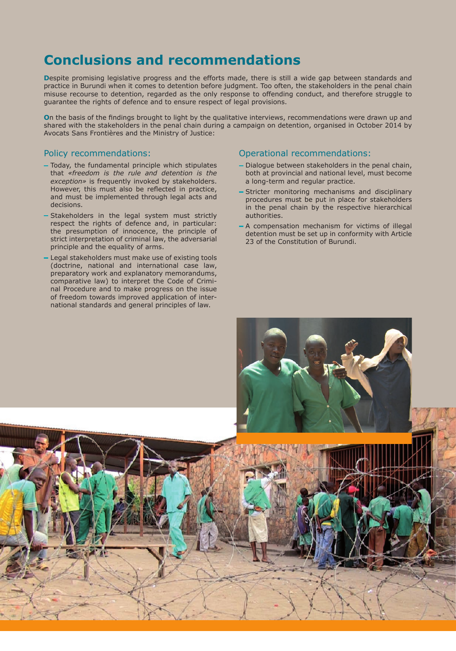# **conclusions and recommendations**

**Despite promising legislative progress and the efforts made, there is still a wide gap between standards and** practice in Burundi when it comes to detention before judgment. Too often, the stakeholders in the penal chain misuse recourse to detention, regarded as the only response to offending conduct, and therefore struggle to guarantee the rights of defence and to ensure respect of legal provisions.

**O**n the basis of the findings brought to light by the qualitative interviews, recommendations were drawn up and shared with the stakeholders in the penal chain during a campaign on detention, organised in October 2014 by Avocats Sans Frontières and the Ministry of Justice:

## Policy recommendations:

- Today, the fundamental principle which stipulates that *«freedom is the rule and detention is the exception»* is frequently invoked by stakeholders. However, this must also be reflected in practice, and must be implemented through legal acts and decisions.
- Stakeholders in the legal system must strictly respect the rights of defence and, in particular: the presumption of innocence, the principle of strict interpretation of criminal law, the adversarial principle and the equality of arms.
- Legal stakeholders must make use of existing tools (doctrine, national and international case law, preparatory work and explanatory memorandums, comparative law) to interpret the Code of Criminal Procedure and to make progress on the issue of freedom towards improved application of international standards and general principles of law.

## Operational recommendations:

- Dialogue between stakeholders in the penal chain, both at provincial and national level, must become a long-term and regular practice.
- Stricter monitoring mechanisms and disciplinary procedures must be put in place for stakeholders in the penal chain by the respective hierarchical authorities.
- A compensation mechanism for victims of illegal detention must be set up in conformity with Article 23 of the Constitution of Burundi.